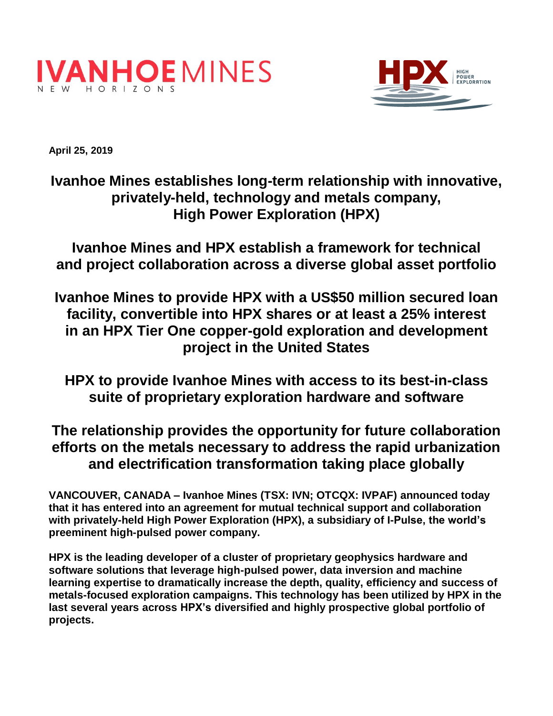



**April 25, 2019** 

# **Ivanhoe Mines establishes long-term relationship with innovative, privately-held, technology and metals company, High Power Exploration (HPX)**

**Ivanhoe Mines and HPX establish a framework for technical and project collaboration across a diverse global asset portfolio**

**Ivanhoe Mines to provide HPX with a US\$50 million secured loan facility, convertible into HPX shares or at least a 25% interest in an HPX Tier One copper-gold exploration and development project in the United States**

**HPX to provide Ivanhoe Mines with access to its best-in-class suite of proprietary exploration hardware and software**

## **The relationship provides the opportunity for future collaboration efforts on the metals necessary to address the rapid urbanization and electrification transformation taking place globally**

**VANCOUVER, CANADA – Ivanhoe Mines (TSX: IVN; OTCQX: IVPAF) announced today that it has entered into an agreement for mutual technical support and collaboration with privately-held High Power Exploration (HPX), a subsidiary of I-Pulse, the world's preeminent high-pulsed power company.** 

**HPX is the leading developer of a cluster of proprietary geophysics hardware and software solutions that leverage high-pulsed power, data inversion and machine learning expertise to dramatically increase the depth, quality, efficiency and success of metals-focused exploration campaigns. This technology has been utilized by HPX in the last several years across HPX's diversified and highly prospective global portfolio of projects.**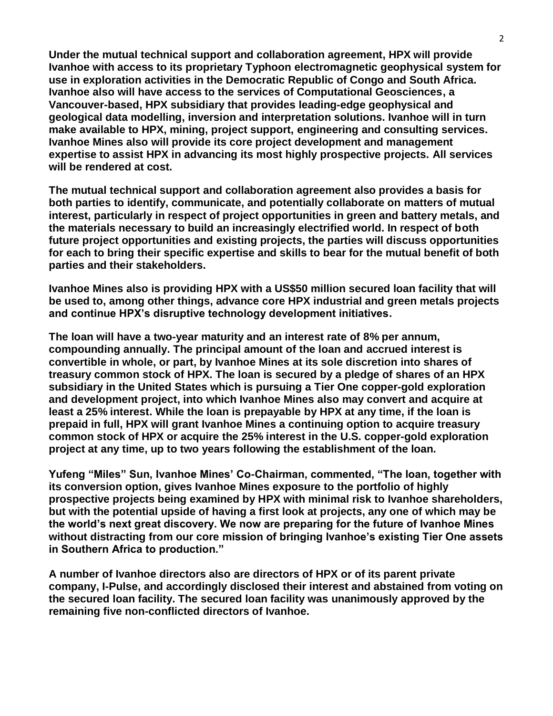**Under the mutual technical support and collaboration agreement, HPX will provide Ivanhoe with access to its proprietary Typhoon electromagnetic geophysical system for use in exploration activities in the Democratic Republic of Congo and South Africa. Ivanhoe also will have access to the services of Computational Geosciences, a Vancouver-based, HPX subsidiary that provides leading-edge geophysical and geological data modelling, inversion and interpretation solutions. Ivanhoe will in turn make available to HPX, mining, project support, engineering and consulting services. Ivanhoe Mines also will provide its core project development and management expertise to assist HPX in advancing its most highly prospective projects. All services will be rendered at cost.**

**The mutual technical support and collaboration agreement also provides a basis for both parties to identify, communicate, and potentially collaborate on matters of mutual interest, particularly in respect of project opportunities in green and battery metals, and the materials necessary to build an increasingly electrified world. In respect of both future project opportunities and existing projects, the parties will discuss opportunities for each to bring their specific expertise and skills to bear for the mutual benefit of both parties and their stakeholders.** 

**Ivanhoe Mines also is providing HPX with a US\$50 million secured loan facility that will be used to, among other things, advance core HPX industrial and green metals projects and continue HPX's disruptive technology development initiatives.** 

**The loan will have a two-year maturity and an interest rate of 8% per annum, compounding annually. The principal amount of the loan and accrued interest is convertible in whole, or part, by Ivanhoe Mines at its sole discretion into shares of treasury common stock of HPX. The loan is secured by a pledge of shares of an HPX subsidiary in the United States which is pursuing a Tier One copper-gold exploration and development project, into which Ivanhoe Mines also may convert and acquire at least a 25% interest. While the loan is prepayable by HPX at any time, if the loan is prepaid in full, HPX will grant Ivanhoe Mines a continuing option to acquire treasury common stock of HPX or acquire the 25% interest in the U.S. copper-gold exploration project at any time, up to two years following the establishment of the loan.**

**Yufeng "Miles" Sun, Ivanhoe Mines' Co-Chairman, commented, "The loan, together with its conversion option, gives Ivanhoe Mines exposure to the portfolio of highly prospective projects being examined by HPX with minimal risk to Ivanhoe shareholders, but with the potential upside of having a first look at projects, any one of which may be the world's next great discovery. We now are preparing for the future of Ivanhoe Mines without distracting from our core mission of bringing Ivanhoe's existing Tier One assets in Southern Africa to production."**

**A number of Ivanhoe directors also are directors of HPX or of its parent private company, I-Pulse, and accordingly disclosed their interest and abstained from voting on the secured loan facility. The secured loan facility was unanimously approved by the remaining five non-conflicted directors of Ivanhoe.**